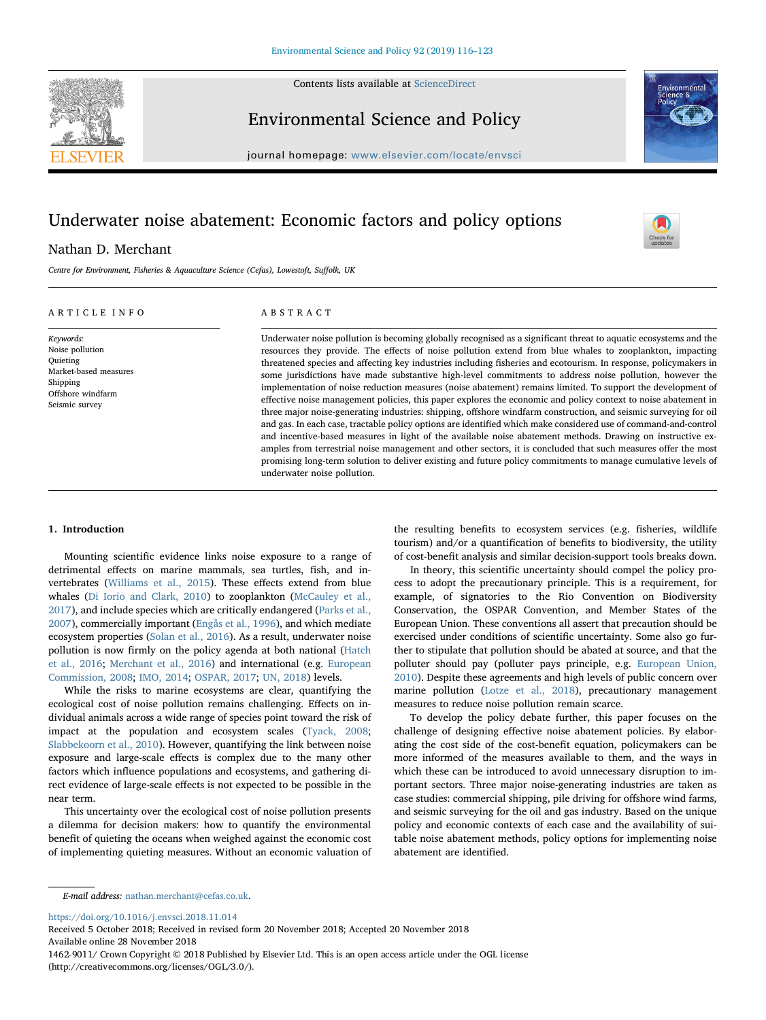

Contents lists available at [ScienceDirect](http://www.sciencedirect.com/science/journal/14629011)

Environmental Science and Policy



 $\sum_{\text{the}}$ 

journal homepage: [www.elsevier.com/locate/envsci](https://www.elsevier.com/locate/envsci)

# Underwater noise abatement: Economic factors and policy options

# Nathan D. Merchant

Centre for Environment, Fisheries & Aquaculture Science (Cefas), Lowestoft, Suffolk, UK

# ARTICLE INFO

Keywords: Noise pollution Quieting Market-based measures Shipping Offshore windfarm Seismic survey

# ABSTRACT

Underwater noise pollution is becoming globally recognised as a significant threat to aquatic ecosystems and the resources they provide. The effects of noise pollution extend from blue whales to zooplankton, impacting threatened species and affecting key industries including fisheries and ecotourism. In response, policymakers in some jurisdictions have made substantive high-level commitments to address noise pollution, however the implementation of noise reduction measures (noise abatement) remains limited. To support the development of effective noise management policies, this paper explores the economic and policy context to noise abatement in three major noise-generating industries: shipping, offshore windfarm construction, and seismic surveying for oil and gas. In each case, tractable policy options are identified which make considered use of command-and-control and incentive-based measures in light of the available noise abatement methods. Drawing on instructive examples from terrestrial noise management and other sectors, it is concluded that such measures offer the most promising long-term solution to deliver existing and future policy commitments to manage cumulative levels of underwater noise pollution.

### 1. Introduction

Mounting scientific evidence links noise exposure to a range of detrimental effects on marine mammals, sea turtles, fish, and invertebrates [\(Williams et al., 2015](#page-7-0)). These effects extend from blue whales ([Di Iorio and Clark, 2010\)](#page-6-0) to zooplankton ([McCauley et al.,](#page-6-1) [2017\)](#page-6-1), and include species which are critically endangered [\(Parks et al.,](#page-6-2) [2007\)](#page-6-2), commercially important ([Engås et al., 1996\)](#page-6-3), and which mediate ecosystem properties ([Solan et al., 2016](#page-6-4)). As a result, underwater noise pollution is now firmly on the policy agenda at both national ([Hatch](#page-6-5) [et al., 2016;](#page-6-5) [Merchant et al., 2016](#page-6-6)) and international (e.g. [European](#page-6-7) [Commission, 2008](#page-6-7); [IMO, 2014](#page-6-8); [OSPAR, 2017](#page-6-9); [UN, 2018\)](#page-6-10) levels.

While the risks to marine ecosystems are clear, quantifying the ecological cost of noise pollution remains challenging. Effects on individual animals across a wide range of species point toward the risk of impact at the population and ecosystem scales [\(Tyack, 2008](#page-6-11); [Slabbekoorn et al., 2010](#page-6-12)). However, quantifying the link between noise exposure and large-scale effects is complex due to the many other factors which influence populations and ecosystems, and gathering direct evidence of large-scale effects is not expected to be possible in the near term.

This uncertainty over the ecological cost of noise pollution presents a dilemma for decision makers: how to quantify the environmental benefit of quieting the oceans when weighed against the economic cost of implementing quieting measures. Without an economic valuation of

the resulting benefits to ecosystem services (e.g. fisheries, wildlife tourism) and/or a quantification of benefits to biodiversity, the utility of cost-benefit analysis and similar decision-support tools breaks down.

In theory, this scientific uncertainty should compel the policy process to adopt the precautionary principle. This is a requirement, for example, of signatories to the Rio Convention on Biodiversity Conservation, the OSPAR Convention, and Member States of the European Union. These conventions all assert that precaution should be exercised under conditions of scientific uncertainty. Some also go further to stipulate that pollution should be abated at source, and that the polluter should pay (polluter pays principle, e.g. [European Union,](#page-6-13) [2010\)](#page-6-13). Despite these agreements and high levels of public concern over marine pollution [\(Lotze et al., 2018](#page-6-14)), precautionary management measures to reduce noise pollution remain scarce.

To develop the policy debate further, this paper focuses on the challenge of designing effective noise abatement policies. By elaborating the cost side of the cost-benefit equation, policymakers can be more informed of the measures available to them, and the ways in which these can be introduced to avoid unnecessary disruption to important sectors. Three major noise-generating industries are taken as case studies: commercial shipping, pile driving for offshore wind farms, and seismic surveying for the oil and gas industry. Based on the unique policy and economic contexts of each case and the availability of suitable noise abatement methods, policy options for implementing noise abatement are identified.

<https://doi.org/10.1016/j.envsci.2018.11.014>

Received 5 October 2018; Received in revised form 20 November 2018; Accepted 20 November 2018 Available online 28 November 2018

1462-9011/ Crown Copyright © 2018 Published by Elsevier Ltd. This is an open access article under the OGL license (http://creativecommons.org/licenses/OGL/3.0/).

E-mail address: [nathan.merchant@cefas.co.uk](mailto:nathan.merchant@cefas.co.uk).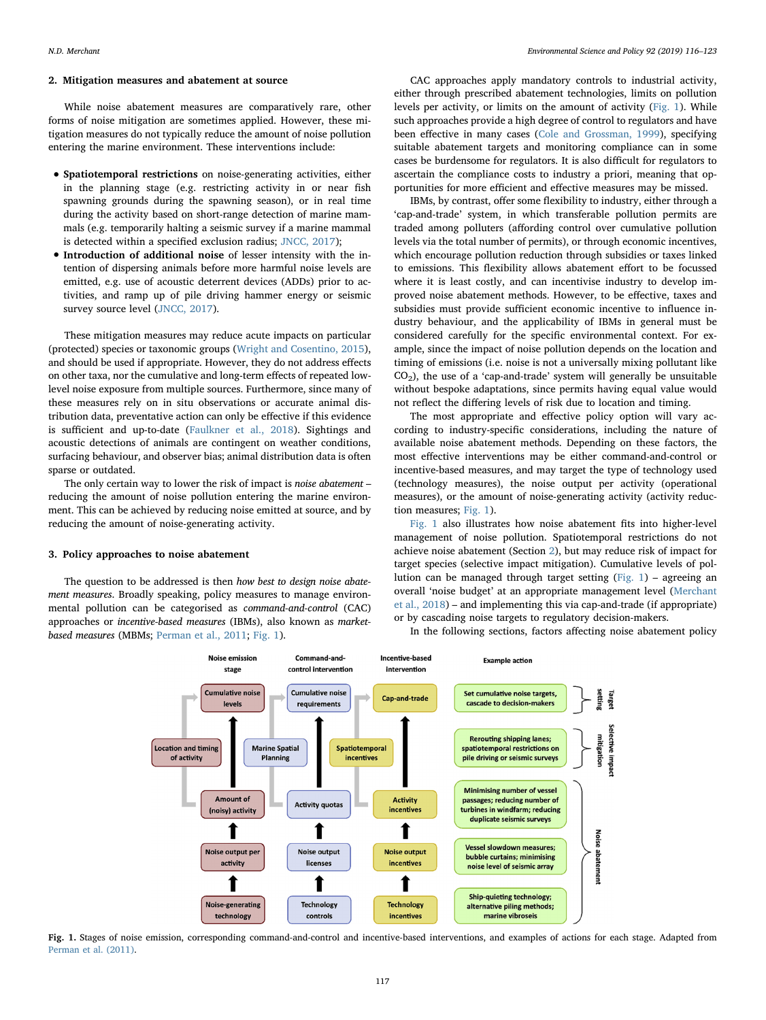### <span id="page-1-1"></span>2. Mitigation measures and abatement at source

While noise abatement measures are comparatively rare, other forms of noise mitigation are sometimes applied. However, these mitigation measures do not typically reduce the amount of noise pollution entering the marine environment. These interventions include:

- Spatiotemporal restrictions on noise-generating activities, either in the planning stage (e.g. restricting activity in or near fish spawning grounds during the spawning season), or in real time during the activity based on short-range detection of marine mammals (e.g. temporarily halting a seismic survey if a marine mammal is detected within a specified exclusion radius; [JNCC, 2017\)](#page-6-15);
- Introduction of additional noise of lesser intensity with the intention of dispersing animals before more harmful noise levels are emitted, e.g. use of acoustic deterrent devices (ADDs) prior to activities, and ramp up of pile driving hammer energy or seismic survey source level [\(JNCC, 2017](#page-6-15)).

These mitigation measures may reduce acute impacts on particular (protected) species or taxonomic groups [\(Wright and Cosentino, 2015](#page-7-1)), and should be used if appropriate. However, they do not address effects on other taxa, nor the cumulative and long-term effects of repeated lowlevel noise exposure from multiple sources. Furthermore, since many of these measures rely on in situ observations or accurate animal distribution data, preventative action can only be effective if this evidence is sufficient and up-to-date [\(Faulkner et al., 2018](#page-6-16)). Sightings and acoustic detections of animals are contingent on weather conditions, surfacing behaviour, and observer bias; animal distribution data is often sparse or outdated.

The only certain way to lower the risk of impact is noise abatement – reducing the amount of noise pollution entering the marine environment. This can be achieved by reducing noise emitted at source, and by reducing the amount of noise-generating activity.

### <span id="page-1-2"></span>3. Policy approaches to noise abatement

<span id="page-1-0"></span>The question to be addressed is then how best to design noise abatement measures. Broadly speaking, policy measures to manage environmental pollution can be categorised as command-and-control (CAC) approaches or incentive-based measures (IBMs), also known as marketbased measures (MBMs; [Perman et al., 2011](#page-6-17); [Fig. 1](#page-1-0)).

CAC approaches apply mandatory controls to industrial activity, either through prescribed abatement technologies, limits on pollution levels per activity, or limits on the amount of activity [\(Fig. 1\)](#page-1-0). While such approaches provide a high degree of control to regulators and have been effective in many cases ([Cole and Grossman, 1999](#page-5-0)), specifying suitable abatement targets and monitoring compliance can in some cases be burdensome for regulators. It is also difficult for regulators to ascertain the compliance costs to industry a priori, meaning that opportunities for more efficient and effective measures may be missed.

IBMs, by contrast, offer some flexibility to industry, either through a 'cap-and-trade' system, in which transferable pollution permits are traded among polluters (affording control over cumulative pollution levels via the total number of permits), or through economic incentives, which encourage pollution reduction through subsidies or taxes linked to emissions. This flexibility allows abatement effort to be focussed where it is least costly, and can incentivise industry to develop improved noise abatement methods. However, to be effective, taxes and subsidies must provide sufficient economic incentive to influence industry behaviour, and the applicability of IBMs in general must be considered carefully for the specific environmental context. For example, since the impact of noise pollution depends on the location and timing of emissions (i.e. noise is not a universally mixing pollutant like  $CO<sub>2</sub>$ ), the use of a 'cap-and-trade' system will generally be unsuitable without bespoke adaptations, since permits having equal value would not reflect the differing levels of risk due to location and timing.

The most appropriate and effective policy option will vary according to industry-specific considerations, including the nature of available noise abatement methods. Depending on these factors, the most effective interventions may be either command-and-control or incentive-based measures, and may target the type of technology used (technology measures), the noise output per activity (operational measures), or the amount of noise-generating activity (activity reduction measures; [Fig. 1](#page-1-0)).

[Fig. 1](#page-1-0) also illustrates how noise abatement fits into higher-level management of noise pollution. Spatiotemporal restrictions do not achieve noise abatement (Section [2](#page-1-1)), but may reduce risk of impact for target species (selective impact mitigation). Cumulative levels of pollution can be managed through target setting [\(Fig. 1](#page-1-0)) – agreeing an overall 'noise budget' at an appropriate management level [\(Merchant](#page-6-18) [et al., 2018\)](#page-6-18) – and implementing this via cap-and-trade (if appropriate) or by cascading noise targets to regulatory decision-makers.

In the following sections, factors affecting noise abatement policy



Fig. 1. Stages of noise emission, corresponding command-and-control and incentive-based interventions, and examples of actions for each stage. Adapted from [Perman et al. \(2011\)](#page-6-17).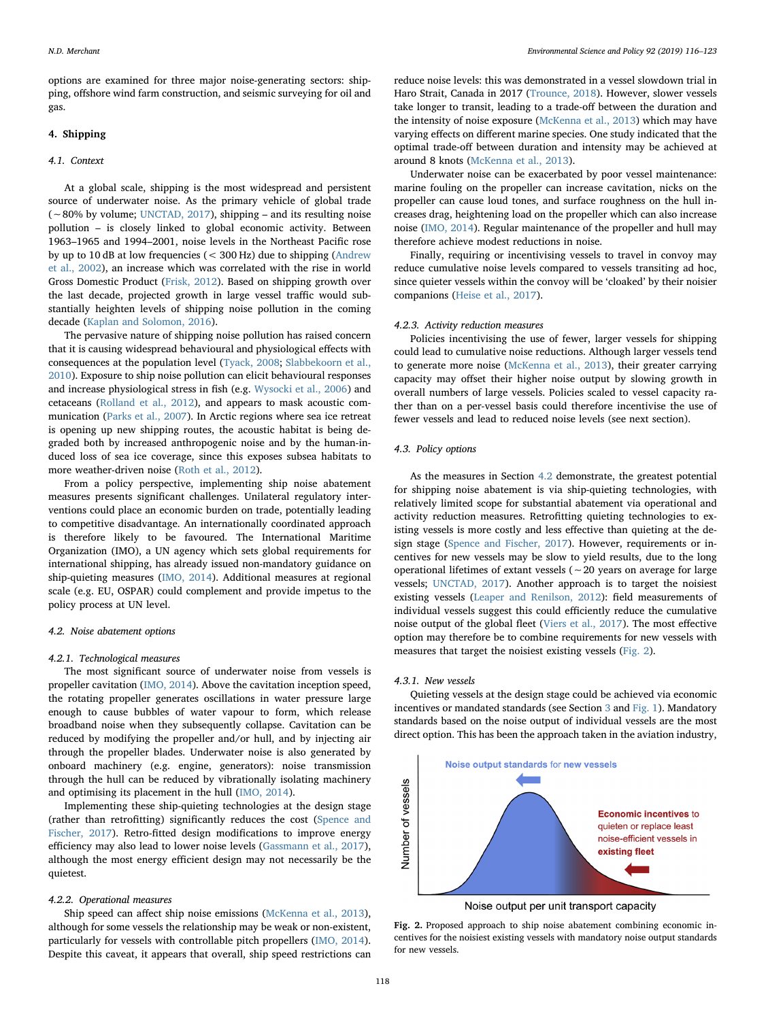options are examined for three major noise-generating sectors: shipping, offshore wind farm construction, and seismic surveying for oil and gas.

### 4. Shipping

### 4.1. Context

At a global scale, shipping is the most widespread and persistent source of underwater noise. As the primary vehicle of global trade (∼80% by volume; [UNCTAD, 2017\)](#page-6-19), shipping – and its resulting noise pollution – is closely linked to global economic activity. Between 1963–1965 and 1994–2001, noise levels in the Northeast Pacific rose by up to 10 dB at low frequencies (< 300 Hz) due to shipping ([Andrew](#page-5-1) [et al., 2002\)](#page-5-1), an increase which was correlated with the rise in world Gross Domestic Product ([Frisk, 2012\)](#page-6-20). Based on shipping growth over the last decade, projected growth in large vessel traffic would substantially heighten levels of shipping noise pollution in the coming decade ([Kaplan and Solomon, 2016](#page-6-21)).

The pervasive nature of shipping noise pollution has raised concern that it is causing widespread behavioural and physiological effects with consequences at the population level ([Tyack, 2008;](#page-6-11) [Slabbekoorn et al.,](#page-6-12) [2010\)](#page-6-12). Exposure to ship noise pollution can elicit behavioural responses and increase physiological stress in fish (e.g. [Wysocki et al., 2006](#page-7-2)) and cetaceans ([Rolland et al., 2012\)](#page-6-22), and appears to mask acoustic communication [\(Parks et al., 2007](#page-6-2)). In Arctic regions where sea ice retreat is opening up new shipping routes, the acoustic habitat is being degraded both by increased anthropogenic noise and by the human-induced loss of sea ice coverage, since this exposes subsea habitats to more weather-driven noise ([Roth et al., 2012\)](#page-6-23).

From a policy perspective, implementing ship noise abatement measures presents significant challenges. Unilateral regulatory interventions could place an economic burden on trade, potentially leading to competitive disadvantage. An internationally coordinated approach is therefore likely to be favoured. The International Maritime Organization (IMO), a UN agency which sets global requirements for international shipping, has already issued non-mandatory guidance on ship-quieting measures [\(IMO, 2014\)](#page-6-8). Additional measures at regional scale (e.g. EU, OSPAR) could complement and provide impetus to the policy process at UN level.

#### <span id="page-2-0"></span>4.2. Noise abatement options

#### 4.2.1. Technological measures

The most significant source of underwater noise from vessels is propeller cavitation ([IMO, 2014](#page-6-8)). Above the cavitation inception speed, the rotating propeller generates oscillations in water pressure large enough to cause bubbles of water vapour to form, which release broadband noise when they subsequently collapse. Cavitation can be reduced by modifying the propeller and/or hull, and by injecting air through the propeller blades. Underwater noise is also generated by onboard machinery (e.g. engine, generators): noise transmission through the hull can be reduced by vibrationally isolating machinery and optimising its placement in the hull [\(IMO, 2014\)](#page-6-8).

Implementing these ship-quieting technologies at the design stage (rather than retrofitting) significantly reduces the cost ([Spence and](#page-6-24) [Fischer, 2017](#page-6-24)). Retro-fitted design modifications to improve energy efficiency may also lead to lower noise levels [\(Gassmann et al., 2017](#page-6-25)), although the most energy efficient design may not necessarily be the quietest.

#### 4.2.2. Operational measures

Ship speed can affect ship noise emissions ([McKenna et al., 2013](#page-6-26)), although for some vessels the relationship may be weak or non-existent, particularly for vessels with controllable pitch propellers [\(IMO, 2014](#page-6-8)). Despite this caveat, it appears that overall, ship speed restrictions can reduce noise levels: this was demonstrated in a vessel slowdown trial in Haro Strait, Canada in 2017 [\(Trounce, 2018\)](#page-6-27). However, slower vessels take longer to transit, leading to a trade-off between the duration and the intensity of noise exposure [\(McKenna et al., 2013\)](#page-6-26) which may have varying effects on different marine species. One study indicated that the optimal trade-off between duration and intensity may be achieved at around 8 knots [\(McKenna et al., 2013](#page-6-26)).

Underwater noise can be exacerbated by poor vessel maintenance: marine fouling on the propeller can increase cavitation, nicks on the propeller can cause loud tones, and surface roughness on the hull increases drag, heightening load on the propeller which can also increase noise [\(IMO, 2014](#page-6-8)). Regular maintenance of the propeller and hull may therefore achieve modest reductions in noise.

Finally, requiring or incentivising vessels to travel in convoy may reduce cumulative noise levels compared to vessels transiting ad hoc, since quieter vessels within the convoy will be 'cloaked' by their noisier companions ([Heise et al., 2017](#page-6-28)).

#### 4.2.3. Activity reduction measures

Policies incentivising the use of fewer, larger vessels for shipping could lead to cumulative noise reductions. Although larger vessels tend to generate more noise [\(McKenna et al., 2013](#page-6-26)), their greater carrying capacity may offset their higher noise output by slowing growth in overall numbers of large vessels. Policies scaled to vessel capacity rather than on a per-vessel basis could therefore incentivise the use of fewer vessels and lead to reduced noise levels (see next section).

### 4.3. Policy options

As the measures in Section [4.2](#page-2-0) demonstrate, the greatest potential for shipping noise abatement is via ship-quieting technologies, with relatively limited scope for substantial abatement via operational and activity reduction measures. Retrofitting quieting technologies to existing vessels is more costly and less effective than quieting at the design stage ([Spence and Fischer, 2017\)](#page-6-24). However, requirements or incentives for new vessels may be slow to yield results, due to the long operational lifetimes of extant vessels (∼20 years on average for large vessels; [UNCTAD, 2017\)](#page-6-19). Another approach is to target the noisiest existing vessels ([Leaper and Renilson, 2012\)](#page-6-29): field measurements of individual vessels suggest this could efficiently reduce the cumulative noise output of the global fleet ([Viers et al., 2017](#page-7-3)). The most effective option may therefore be to combine requirements for new vessels with measures that target the noisiest existing vessels ([Fig. 2\)](#page-2-1).

#### 4.3.1. New vessels

Quieting vessels at the design stage could be achieved via economic incentives or mandated standards (see Section [3](#page-1-2) and [Fig. 1\)](#page-1-0). Mandatory standards based on the noise output of individual vessels are the most direct option. This has been the approach taken in the aviation industry,

<span id="page-2-1"></span>

Fig. 2. Proposed approach to ship noise abatement combining economic incentives for the noisiest existing vessels with mandatory noise output standards for new vessels.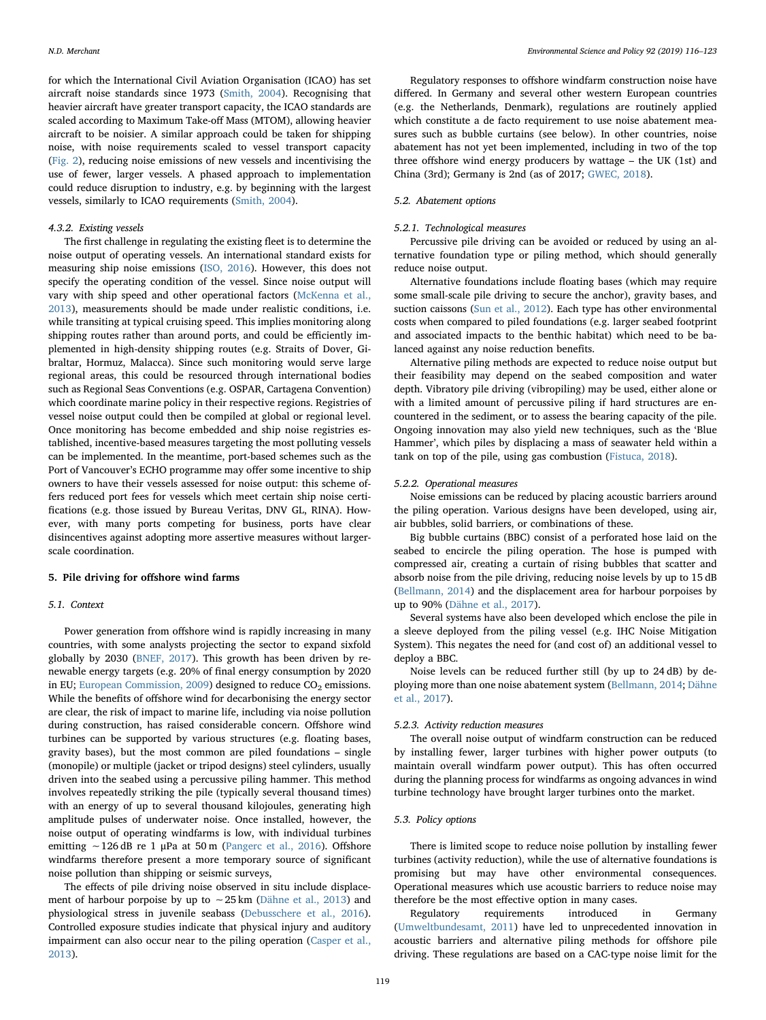for which the International Civil Aviation Organisation (ICAO) has set aircraft noise standards since 1973 [\(Smith, 2004\)](#page-6-30). Recognising that heavier aircraft have greater transport capacity, the ICAO standards are scaled according to Maximum Take-off Mass (MTOM), allowing heavier aircraft to be noisier. A similar approach could be taken for shipping noise, with noise requirements scaled to vessel transport capacity ([Fig. 2\)](#page-2-1), reducing noise emissions of new vessels and incentivising the use of fewer, larger vessels. A phased approach to implementation could reduce disruption to industry, e.g. by beginning with the largest vessels, similarly to ICAO requirements [\(Smith, 2004\)](#page-6-30).

### 4.3.2. Existing vessels

The first challenge in regulating the existing fleet is to determine the noise output of operating vessels. An international standard exists for measuring ship noise emissions ([ISO, 2016\)](#page-6-31). However, this does not specify the operating condition of the vessel. Since noise output will vary with ship speed and other operational factors [\(McKenna et al.,](#page-6-26) [2013\)](#page-6-26), measurements should be made under realistic conditions, i.e. while transiting at typical cruising speed. This implies monitoring along shipping routes rather than around ports, and could be efficiently implemented in high-density shipping routes (e.g. Straits of Dover, Gibraltar, Hormuz, Malacca). Since such monitoring would serve large regional areas, this could be resourced through international bodies such as Regional Seas Conventions (e.g. OSPAR, Cartagena Convention) which coordinate marine policy in their respective regions. Registries of vessel noise output could then be compiled at global or regional level. Once monitoring has become embedded and ship noise registries established, incentive-based measures targeting the most polluting vessels can be implemented. In the meantime, port-based schemes such as the Port of Vancouver's ECHO programme may offer some incentive to ship owners to have their vessels assessed for noise output: this scheme offers reduced port fees for vessels which meet certain ship noise certifications (e.g. those issued by Bureau Veritas, DNV GL, RINA). However, with many ports competing for business, ports have clear disincentives against adopting more assertive measures without largerscale coordination.

### <span id="page-3-0"></span>5. Pile driving for offshore wind farms

#### 5.1. Context

Power generation from offshore wind is rapidly increasing in many countries, with some analysts projecting the sector to expand sixfold globally by 2030 [\(BNEF, 2017](#page-5-2)). This growth has been driven by renewable energy targets (e.g. 20% of final energy consumption by 2020 in EU; [European Commission, 2009\)](#page-6-32) designed to reduce  $CO<sub>2</sub>$  emissions. While the benefits of offshore wind for decarbonising the energy sector are clear, the risk of impact to marine life, including via noise pollution during construction, has raised considerable concern. Offshore wind turbines can be supported by various structures (e.g. floating bases, gravity bases), but the most common are piled foundations – single (monopile) or multiple (jacket or tripod designs) steel cylinders, usually driven into the seabed using a percussive piling hammer. This method involves repeatedly striking the pile (typically several thousand times) with an energy of up to several thousand kilojoules, generating high amplitude pulses of underwater noise. Once installed, however, the noise output of operating windfarms is low, with individual turbines emitting ∼126 dB re 1 μPa at 50 m ([Pangerc et al., 2016\)](#page-6-33). Offshore windfarms therefore present a more temporary source of significant noise pollution than shipping or seismic surveys,

The effects of pile driving noise observed in situ include displacement of harbour porpoise by up to ∼25 km [\(Dähne et al., 2013\)](#page-6-34) and physiological stress in juvenile seabass [\(Debusschere et al., 2016](#page-6-35)). Controlled exposure studies indicate that physical injury and auditory impairment can also occur near to the piling operation ([Casper et al.,](#page-5-3) [2013\)](#page-5-3).

Regulatory responses to offshore windfarm construction noise have differed. In Germany and several other western European countries (e.g. the Netherlands, Denmark), regulations are routinely applied which constitute a de facto requirement to use noise abatement measures such as bubble curtains (see below). In other countries, noise abatement has not yet been implemented, including in two of the top three offshore wind energy producers by wattage – the UK (1st) and China (3rd); Germany is 2nd (as of 2017; [GWEC, 2018\)](#page-6-36).

# 5.2. Abatement options

### 5.2.1. Technological measures

Percussive pile driving can be avoided or reduced by using an alternative foundation type or piling method, which should generally reduce noise output.

Alternative foundations include floating bases (which may require some small-scale pile driving to secure the anchor), gravity bases, and suction caissons ([Sun et al., 2012](#page-6-37)). Each type has other environmental costs when compared to piled foundations (e.g. larger seabed footprint and associated impacts to the benthic habitat) which need to be balanced against any noise reduction benefits.

Alternative piling methods are expected to reduce noise output but their feasibility may depend on the seabed composition and water depth. Vibratory pile driving (vibropiling) may be used, either alone or with a limited amount of percussive piling if hard structures are encountered in the sediment, or to assess the bearing capacity of the pile. Ongoing innovation may also yield new techniques, such as the 'Blue Hammer', which piles by displacing a mass of seawater held within a tank on top of the pile, using gas combustion [\(Fistuca, 2018\)](#page-6-38).

### 5.2.2. Operational measures

Noise emissions can be reduced by placing acoustic barriers around the piling operation. Various designs have been developed, using air, air bubbles, solid barriers, or combinations of these.

Big bubble curtains (BBC) consist of a perforated hose laid on the seabed to encircle the piling operation. The hose is pumped with compressed air, creating a curtain of rising bubbles that scatter and absorb noise from the pile driving, reducing noise levels by up to 15 dB ([Bellmann, 2014\)](#page-5-4) and the displacement area for harbour porpoises by up to 90% [\(Dähne et al., 2017](#page-6-39)).

Several systems have also been developed which enclose the pile in a sleeve deployed from the piling vessel (e.g. IHC Noise Mitigation System). This negates the need for (and cost of) an additional vessel to deploy a BBC.

Noise levels can be reduced further still (by up to 24 dB) by deploying more than one noise abatement system ([Bellmann, 2014;](#page-5-4) [Dähne](#page-6-39) [et al., 2017](#page-6-39)).

#### 5.2.3. Activity reduction measures

The overall noise output of windfarm construction can be reduced by installing fewer, larger turbines with higher power outputs (to maintain overall windfarm power output). This has often occurred during the planning process for windfarms as ongoing advances in wind turbine technology have brought larger turbines onto the market.

### 5.3. Policy options

There is limited scope to reduce noise pollution by installing fewer turbines (activity reduction), while the use of alternative foundations is promising but may have other environmental consequences. Operational measures which use acoustic barriers to reduce noise may therefore be the most effective option in many cases.

Regulatory requirements introduced in Germany ([Umweltbundesamt, 2011\)](#page-6-40) have led to unprecedented innovation in acoustic barriers and alternative piling methods for offshore pile driving. These regulations are based on a CAC-type noise limit for the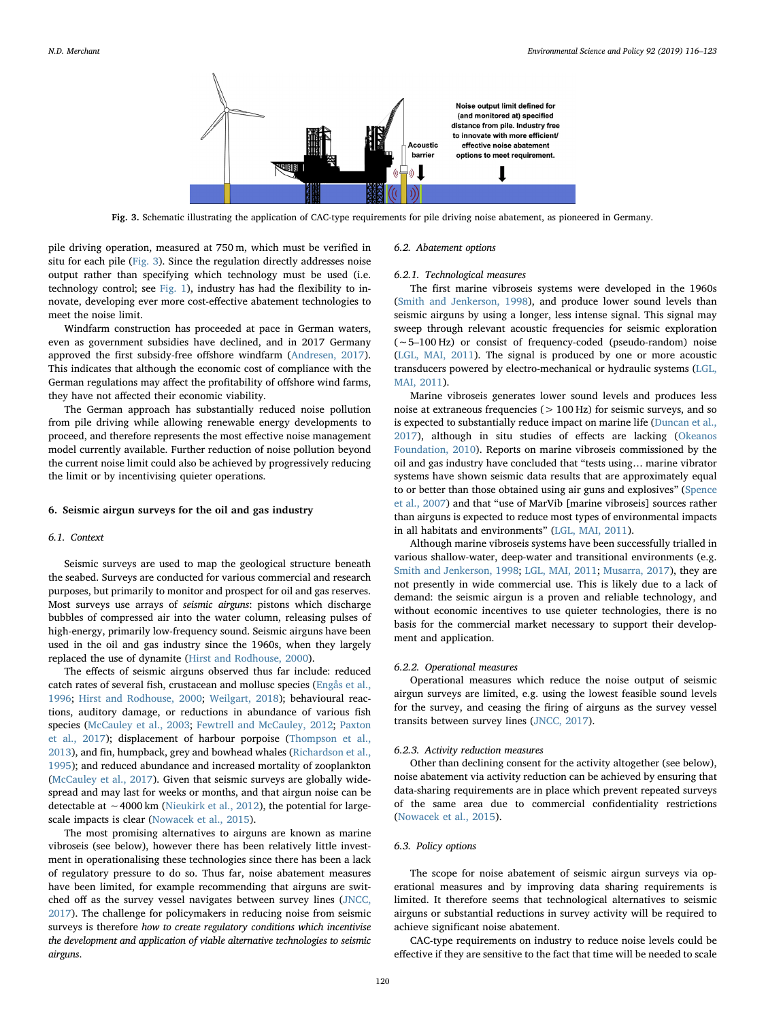<span id="page-4-0"></span>

Fig. 3. Schematic illustrating the application of CAC-type requirements for pile driving noise abatement, as pioneered in Germany.

pile driving operation, measured at 750 m, which must be verified in situ for each pile [\(Fig. 3](#page-4-0)). Since the regulation directly addresses noise output rather than specifying which technology must be used (i.e. technology control; see [Fig. 1](#page-1-0)), industry has had the flexibility to innovate, developing ever more cost-effective abatement technologies to meet the noise limit.

Windfarm construction has proceeded at pace in German waters, even as government subsidies have declined, and in 2017 Germany approved the first subsidy-free offshore windfarm ([Andresen, 2017](#page-5-5)). This indicates that although the economic cost of compliance with the German regulations may affect the profitability of offshore wind farms, they have not affected their economic viability.

The German approach has substantially reduced noise pollution from pile driving while allowing renewable energy developments to proceed, and therefore represents the most effective noise management model currently available. Further reduction of noise pollution beyond the current noise limit could also be achieved by progressively reducing the limit or by incentivising quieter operations.

# 6. Seismic airgun surveys for the oil and gas industry

### 6.1. Context

Seismic surveys are used to map the geological structure beneath the seabed. Surveys are conducted for various commercial and research purposes, but primarily to monitor and prospect for oil and gas reserves. Most surveys use arrays of seismic airguns: pistons which discharge bubbles of compressed air into the water column, releasing pulses of high-energy, primarily low-frequency sound. Seismic airguns have been used in the oil and gas industry since the 1960s, when they largely replaced the use of dynamite ([Hirst and Rodhouse, 2000\)](#page-6-41).

The effects of seismic airguns observed thus far include: reduced catch rates of several fish, crustacean and mollusc species [\(Engås et al.,](#page-6-3) [1996;](#page-6-3) [Hirst and Rodhouse, 2000](#page-6-41); [Weilgart, 2018\)](#page-7-4); behavioural reactions, auditory damage, or reductions in abundance of various fish species [\(McCauley et al., 2003;](#page-6-42) [Fewtrell and McCauley, 2012](#page-6-43); [Paxton](#page-6-44) [et al., 2017](#page-6-44)); displacement of harbour porpoise [\(Thompson et al.,](#page-6-45) [2013\)](#page-6-45), and fin, humpback, grey and bowhead whales ([Richardson et al.,](#page-6-46) [1995\)](#page-6-46); and reduced abundance and increased mortality of zooplankton ([McCauley et al., 2017\)](#page-6-1). Given that seismic surveys are globally widespread and may last for weeks or months, and that airgun noise can be detectable at ∼4000 km ([Nieukirk et al., 2012\)](#page-6-47), the potential for largescale impacts is clear [\(Nowacek et al., 2015](#page-6-48)).

The most promising alternatives to airguns are known as marine vibroseis (see below), however there has been relatively little investment in operationalising these technologies since there has been a lack of regulatory pressure to do so. Thus far, noise abatement measures have been limited, for example recommending that airguns are switched off as the survey vessel navigates between survey lines ([JNCC,](#page-6-15) [2017\)](#page-6-15). The challenge for policymakers in reducing noise from seismic surveys is therefore how to create regulatory conditions which incentivise the development and application of viable alternative technologies to seismic airguns.

#### 6.2. Abatement options

### 6.2.1. Technological measures

The first marine vibroseis systems were developed in the 1960s ([Smith and Jenkerson, 1998\)](#page-6-49), and produce lower sound levels than seismic airguns by using a longer, less intense signal. This signal may sweep through relevant acoustic frequencies for seismic exploration (∼5–100 Hz) or consist of frequency-coded (pseudo-random) noise ([LGL, MAI, 2011\)](#page-6-50). The signal is produced by one or more acoustic transducers powered by electro-mechanical or hydraulic systems [\(LGL,](#page-6-50) [MAI, 2011](#page-6-50)).

Marine vibroseis generates lower sound levels and produces less noise at extraneous frequencies (> 100 Hz) for seismic surveys, and so is expected to substantially reduce impact on marine life [\(Duncan et al.,](#page-6-51) [2017\)](#page-6-51), although in situ studies of effects are lacking ([Okeanos](#page-6-52) [Foundation, 2010\)](#page-6-52). Reports on marine vibroseis commissioned by the oil and gas industry have concluded that "tests using… marine vibrator systems have shown seismic data results that are approximately equal to or better than those obtained using air guns and explosives" [\(Spence](#page-6-53) [et al., 2007\)](#page-6-53) and that "use of MarVib [marine vibroseis] sources rather than airguns is expected to reduce most types of environmental impacts in all habitats and environments" [\(LGL, MAI, 2011](#page-6-50)).

Although marine vibroseis systems have been successfully trialled in various shallow-water, deep-water and transitional environments (e.g. [Smith and Jenkerson, 1998;](#page-6-49) [LGL, MAI, 2011;](#page-6-50) [Musarra, 2017\)](#page-6-54), they are not presently in wide commercial use. This is likely due to a lack of demand: the seismic airgun is a proven and reliable technology, and without economic incentives to use quieter technologies, there is no basis for the commercial market necessary to support their development and application.

### 6.2.2. Operational measures

Operational measures which reduce the noise output of seismic airgun surveys are limited, e.g. using the lowest feasible sound levels for the survey, and ceasing the firing of airguns as the survey vessel transits between survey lines [\(JNCC, 2017\)](#page-6-15).

# 6.2.3. Activity reduction measures

Other than declining consent for the activity altogether (see below), noise abatement via activity reduction can be achieved by ensuring that data-sharing requirements are in place which prevent repeated surveys of the same area due to commercial confidentiality restrictions ([Nowacek et al., 2015](#page-6-48)).

# 6.3. Policy options

The scope for noise abatement of seismic airgun surveys via operational measures and by improving data sharing requirements is limited. It therefore seems that technological alternatives to seismic airguns or substantial reductions in survey activity will be required to achieve significant noise abatement.

CAC-type requirements on industry to reduce noise levels could be effective if they are sensitive to the fact that time will be needed to scale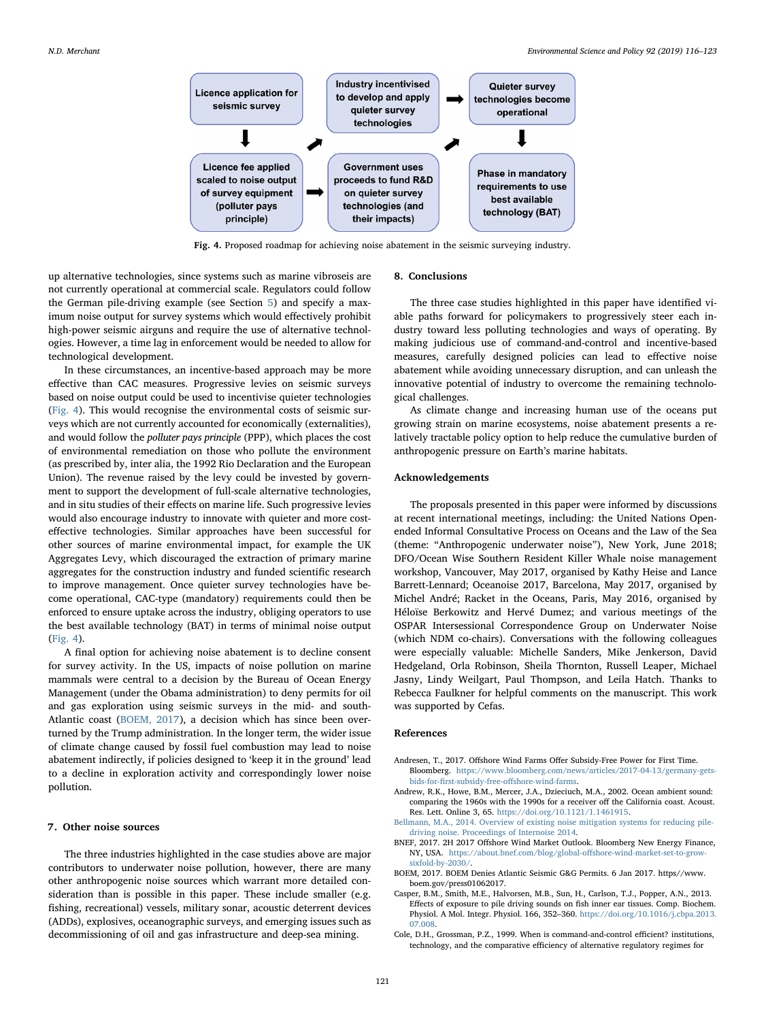<span id="page-5-6"></span>

Fig. 4. Proposed roadmap for achieving noise abatement in the seismic surveying industry.

up alternative technologies, since systems such as marine vibroseis are not currently operational at commercial scale. Regulators could follow the German pile-driving example (see Section [5\)](#page-3-0) and specify a maximum noise output for survey systems which would effectively prohibit high-power seismic airguns and require the use of alternative technologies. However, a time lag in enforcement would be needed to allow for technological development.

In these circumstances, an incentive-based approach may be more effective than CAC measures. Progressive levies on seismic surveys based on noise output could be used to incentivise quieter technologies ([Fig. 4](#page-5-6)). This would recognise the environmental costs of seismic surveys which are not currently accounted for economically (externalities), and would follow the polluter pays principle (PPP), which places the cost of environmental remediation on those who pollute the environment (as prescribed by, inter alia, the 1992 Rio Declaration and the European Union). The revenue raised by the levy could be invested by government to support the development of full-scale alternative technologies, and in situ studies of their effects on marine life. Such progressive levies would also encourage industry to innovate with quieter and more costeffective technologies. Similar approaches have been successful for other sources of marine environmental impact, for example the UK Aggregates Levy, which discouraged the extraction of primary marine aggregates for the construction industry and funded scientific research to improve management. Once quieter survey technologies have become operational, CAC-type (mandatory) requirements could then be enforced to ensure uptake across the industry, obliging operators to use the best available technology (BAT) in terms of minimal noise output ([Fig. 4\)](#page-5-6).

A final option for achieving noise abatement is to decline consent for survey activity. In the US, impacts of noise pollution on marine mammals were central to a decision by the Bureau of Ocean Energy Management (under the Obama administration) to deny permits for oil and gas exploration using seismic surveys in the mid- and south-Atlantic coast ([BOEM, 2017\)](#page-5-7), a decision which has since been overturned by the Trump administration. In the longer term, the wider issue of climate change caused by fossil fuel combustion may lead to noise abatement indirectly, if policies designed to 'keep it in the ground' lead to a decline in exploration activity and correspondingly lower noise pollution.

### 7. Other noise sources

The three industries highlighted in the case studies above are major contributors to underwater noise pollution, however, there are many other anthropogenic noise sources which warrant more detailed consideration than is possible in this paper. These include smaller (e.g. fishing, recreational) vessels, military sonar, acoustic deterrent devices (ADDs), explosives, oceanographic surveys, and emerging issues such as decommissioning of oil and gas infrastructure and deep-sea mining.

### 8. Conclusions

The three case studies highlighted in this paper have identified viable paths forward for policymakers to progressively steer each industry toward less polluting technologies and ways of operating. By making judicious use of command-and-control and incentive-based measures, carefully designed policies can lead to effective noise abatement while avoiding unnecessary disruption, and can unleash the innovative potential of industry to overcome the remaining technological challenges.

As climate change and increasing human use of the oceans put growing strain on marine ecosystems, noise abatement presents a relatively tractable policy option to help reduce the cumulative burden of anthropogenic pressure on Earth's marine habitats.

### Acknowledgements

The proposals presented in this paper were informed by discussions at recent international meetings, including: the United Nations Openended Informal Consultative Process on Oceans and the Law of the Sea (theme: "Anthropogenic underwater noise"), New York, June 2018; DFO/Ocean Wise Southern Resident Killer Whale noise management workshop, Vancouver, May 2017, organised by Kathy Heise and Lance Barrett-Lennard; Oceanoise 2017, Barcelona, May 2017, organised by Michel André; Racket in the Oceans, Paris, May 2016, organised by Héloïse Berkowitz and Hervé Dumez; and various meetings of the OSPAR Intersessional Correspondence Group on Underwater Noise (which NDM co-chairs). Conversations with the following colleagues were especially valuable: Michelle Sanders, Mike Jenkerson, David Hedgeland, Orla Robinson, Sheila Thornton, Russell Leaper, Michael Jasny, Lindy Weilgart, Paul Thompson, and Leila Hatch. Thanks to Rebecca Faulkner for helpful comments on the manuscript. This work was supported by Cefas.

#### References

- <span id="page-5-5"></span>Andresen, T., 2017. Offshore Wind Farms Offer Subsidy-Free Power for First Time. Bloomberg. [https://www.bloomberg.com/news/articles/2017-04-13/germany-gets](https://www.bloomberg.com/news/articles/2017-04-13/germany-gets-bids-for-first-subsidy-free-offshore-wind-farms)bids-for-first-subsidy-free-off[shore-wind-farms](https://www.bloomberg.com/news/articles/2017-04-13/germany-gets-bids-for-first-subsidy-free-offshore-wind-farms).
- <span id="page-5-1"></span>Andrew, R.K., Howe, B.M., Mercer, J.A., Dzieciuch, M.A., 2002. Ocean ambient sound: comparing the 1960s with the 1990s for a receiver off the California coast. Acoust. Res. Lett. Online 3, 65. [https://doi.org/10.1121/1.1461915.](https://doi.org/10.1121/1.1461915)
- <span id="page-5-4"></span>[Bellmann, M.A., 2014. Overview of existing noise mitigation systems for reducing pile](http://refhub.elsevier.com/S1462-9011(18)31074-8/sbref0015)[driving noise. Proceedings of Internoise 2014.](http://refhub.elsevier.com/S1462-9011(18)31074-8/sbref0015)
- <span id="page-5-2"></span>BNEF, 2017. 2H 2017 Offshore Wind Market Outlook. Bloomberg New Energy Finance, NY, USA. [https://about.bnef.com/blog/global-o](https://about.bnef.com/blog/global-offshore-wind-market-set-to-grow-sixfold-by-2030/)ffshore-wind-market-set-to-growsixfold-by-2030/
- <span id="page-5-7"></span>BOEM, 2017. BOEM Denies Atlantic Seismic G&G Permits. 6 Jan 2017. https//www. boem.gov/press01062017.
- <span id="page-5-3"></span>Casper, B.M., Smith, M.E., Halvorsen, M.B., Sun, H., Carlson, T.J., Popper, A.N., 2013. Effects of exposure to pile driving sounds on fish inner ear tissues. Comp. Biochem. Physiol. A Mol. Integr. Physiol. 166, 352–360. [https://doi.org/10.1016/j.cbpa.2013.](https://doi.org/10.1016/j.cbpa.2013.07.008) [07.008](https://doi.org/10.1016/j.cbpa.2013.07.008).
- <span id="page-5-0"></span>Cole, D.H., Grossman, P.Z., 1999. When is command-and-control efficient? institutions, technology, and the comparative efficiency of alternative regulatory regimes for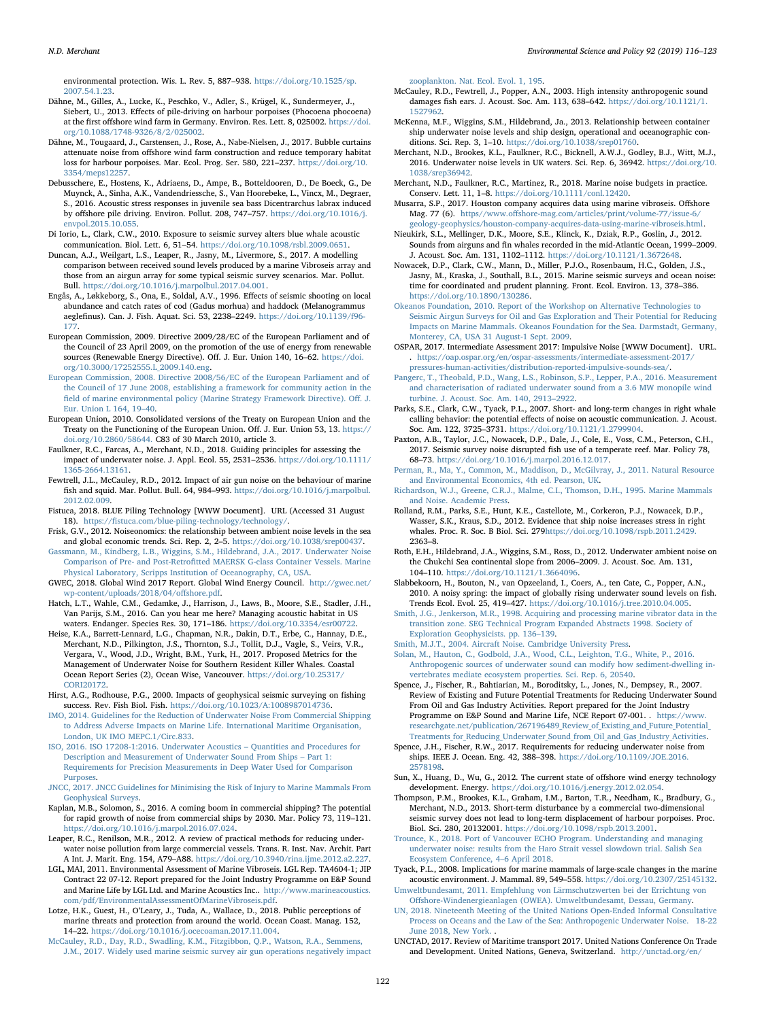environmental protection. Wis. L. Rev. 5, 887–938. [https://doi.org/10.1525/sp.](https://doi.org/10.1525/sp.2007.54.1.23) [2007.54.1.23](https://doi.org/10.1525/sp.2007.54.1.23).

- <span id="page-6-34"></span>Dähne, M., Gilles, A., Lucke, K., Peschko, V., Adler, S., Krügel, K., Sundermeyer, J., Siebert, U., 2013. Effects of pile-driving on harbour porpoises (Phocoena phocoena) at the first offshore wind farm in Germany. Environ. Res. Lett. 8, 025002. [https://doi.](https://doi.org/10.1088/1748-9326/8/2/025002) [org/10.1088/1748-9326/8/2/025002](https://doi.org/10.1088/1748-9326/8/2/025002).
- <span id="page-6-39"></span>Dähne, M., Tougaard, J., Carstensen, J., Rose, A., Nabe-Nielsen, J., 2017. Bubble curtains attenuate noise from offshore wind farm construction and reduce temporary habitat loss for harbour porpoises. Mar. Ecol. Prog. Ser. 580, 221–237. [https://doi.org/10.](https://doi.org/10.3354/meps12257) [3354/meps12257.](https://doi.org/10.3354/meps12257)
- <span id="page-6-35"></span>Debusschere, E., Hostens, K., Adriaens, D., Ampe, B., Botteldooren, D., De Boeck, G., De Muynck, A., Sinha, A.K., Vandendriessche, S., Van Hoorebeke, L., Vincx, M., Degraer, S., 2016. Acoustic stress responses in juvenile sea bass Dicentrarchus labrax induced by offshore pile driving. Environ. Pollut. 208, 747–757. [https://doi.org/10.1016/j.](https://doi.org/10.1016/j.envpol.2015.10.055) [envpol.2015.10.055](https://doi.org/10.1016/j.envpol.2015.10.055).
- <span id="page-6-0"></span>Di Iorio, L., Clark, C.W., 2010. Exposure to seismic survey alters blue whale acoustic communication. Biol. Lett. 6, 51–54. [https://doi.org/10.1098/rsbl.2009.0651.](https://doi.org/10.1098/rsbl.2009.0651)
- <span id="page-6-51"></span>Duncan, A.J., Weilgart, L.S., Leaper, R., Jasny, M., Livermore, S., 2017. A modelling comparison between received sound levels produced by a marine Vibroseis array and those from an airgun array for some typical seismic survey scenarios. Mar. Pollut. Bull. [https://doi.org/10.1016/j.marpolbul.2017.04.001.](https://doi.org/10.1016/j.marpolbul.2017.04.001)
- <span id="page-6-3"></span>Engås, A., Løkkeborg, S., Ona, E., Soldal, A.V., 1996. Effects of seismic shooting on local abundance and catch rates of cod (Gadus morhua) and haddock (Melanogrammus aeglefinus). Can. J. Fish. Aquat. Sci. 53, 2238–2249. [https://doi.org/10.1139/f96-](https://doi.org/10.1139/f96-177) [177](https://doi.org/10.1139/f96-177).
- <span id="page-6-32"></span>European Commission, 2009. Directive 2009/28/EC of the European Parliament and of the Council of 23 April 2009, on the promotion of the use of energy from renewable sources (Renewable Energy Directive). Off. J. Eur. Union 140, 16–62. [https://doi.](https://doi.org/10.3000/17252555.L_2009.140.eng) [org/10.3000/17252555.L\\_2009.140.eng](https://doi.org/10.3000/17252555.L_2009.140.eng).
- <span id="page-6-7"></span>[European Commission, 2008. Directive 2008/56/EC of the European Parliament and of](http://refhub.elsevier.com/S1462-9011(18)31074-8/sbref0075) [the Council of 17 June 2008, establishing a framework for community action in the](http://refhub.elsevier.com/S1462-9011(18)31074-8/sbref0075) fi[eld of marine environmental policy \(Marine Strategy Framework Directive\). O](http://refhub.elsevier.com/S1462-9011(18)31074-8/sbref0075)ff. J. [Eur. Union L 164, 19](http://refhub.elsevier.com/S1462-9011(18)31074-8/sbref0075)–40.
- <span id="page-6-13"></span>European Union, 2010. Consolidated versions of the Treaty on European Union and the Treaty on the Functioning of the European Union. Off. J. Eur. Union 53, 13. [https://](https://doi.org/10.2860/58644) doi.org/10.2860/58644. [C83 of 30 March 2010, article 3](https://doi.org/10.2860/58644).
- <span id="page-6-16"></span>Faulkner, R.C., Farcas, A., Merchant, N.D., 2018. Guiding principles for assessing the impact of underwater noise. J. Appl. Ecol. 55, 2531–2536. [https://doi.org/10.1111/](https://doi.org/10.1111/1365-2664.13161) [1365-2664.13161](https://doi.org/10.1111/1365-2664.13161).
- <span id="page-6-43"></span>Fewtrell, J.L., McCauley, R.D., 2012. Impact of air gun noise on the behaviour of marine fish and squid. Mar. Pollut. Bull. 64, 984–993. [https://doi.org/10.1016/j.marpolbul.](https://doi.org/10.1016/j.marpolbul.2012.02.009) [2012.02.009](https://doi.org/10.1016/j.marpolbul.2012.02.009).
- <span id="page-6-38"></span>Fistuca, 2018. BLUE Piling Technology [WWW Document]. URL (Accessed 31 August 18). https://fi[stuca.com/blue-piling-technology/technology/.](https://fistuca.com/blue-piling-technology/technology/)
- <span id="page-6-20"></span>Frisk, G.V., 2012. Noiseonomics: the relationship between ambient noise levels in the sea and global economic trends. Sci. Rep. 2, 2–5. <https://doi.org/10.1038/srep00437>.
- <span id="page-6-25"></span>[Gassmann, M., Kindberg, L.B., Wiggins, S.M., Hildebrand, J.A., 2017. Underwater Noise](http://refhub.elsevier.com/S1462-9011(18)31074-8/sbref0105) Comparison of Pre- and Post-Retrofi[tted MAERSK G-class Container Vessels. Marine](http://refhub.elsevier.com/S1462-9011(18)31074-8/sbref0105) [Physical Laboratory, Scripps Institution of Oceanography, CA, USA](http://refhub.elsevier.com/S1462-9011(18)31074-8/sbref0105).
- <span id="page-6-36"></span>GWEC, 2018. Global Wind 2017 Report. Global Wind Energy Council. [http://gwec.net/](http://gwec.net/wp-content/uploads/2018/04/offshore.pdf) [wp-content/uploads/2018/04/o](http://gwec.net/wp-content/uploads/2018/04/offshore.pdf)ffshore.pdf.
- <span id="page-6-5"></span>Hatch, L.T., Wahle, C.M., Gedamke, J., Harrison, J., Laws, B., Moore, S.E., Stadler, J.H., Van Parijs, S.M., 2016. Can you hear me here? Managing acoustic habitat in US waters. Endanger. Species Res. 30, 171–186. [https://doi.org/10.3354/esr00722.](https://doi.org/10.3354/esr00722)
- <span id="page-6-28"></span>Heise, K.A., Barrett-Lennard, L.G., Chapman, N.R., Dakin, D.T., Erbe, C., Hannay, D.E., Merchant, N.D., Pilkington, J.S., Thornton, S.J., Tollit, D.J., Vagle, S., Veirs, V.R., Vergara, V., Wood, J.D., Wright, B.M., Yurk, H., 2017. Proposed Metrics for the Management of Underwater Noise for Southern Resident Killer Whales. Coastal Ocean Report Series (2), Ocean Wise, Vancouver. [https://doi.org/10.25317/](https://doi.org/10.25317/CORI20172) [CORI20172](https://doi.org/10.25317/CORI20172).
- <span id="page-6-41"></span>Hirst, A.G., Rodhouse, P.G., 2000. Impacts of geophysical seismic surveying on fishing success. Rev. Fish Biol. Fish. <https://doi.org/10.1023/A:1008987014736>.
- <span id="page-6-8"></span>[IMO, 2014. Guidelines for the Reduction of Underwater Noise From Commercial Shipping](http://refhub.elsevier.com/S1462-9011(18)31074-8/sbref0130) [to Address Adverse Impacts on Marine Life. International Maritime Organisation,](http://refhub.elsevier.com/S1462-9011(18)31074-8/sbref0130) [London, UK IMO MEPC.1/Circ.833](http://refhub.elsevier.com/S1462-9011(18)31074-8/sbref0130).
- <span id="page-6-31"></span>[ISO, 2016. ISO 17208-1:2016. Underwater Acoustics](http://refhub.elsevier.com/S1462-9011(18)31074-8/sbref0135) – Quantities and Procedures for [Description and Measurement of Underwater Sound From Ships](http://refhub.elsevier.com/S1462-9011(18)31074-8/sbref0135) – Part 1: [Requirements for Precision Measurements in Deep Water Used for Comparison](http://refhub.elsevier.com/S1462-9011(18)31074-8/sbref0135) [Purposes.](http://refhub.elsevier.com/S1462-9011(18)31074-8/sbref0135)
- <span id="page-6-15"></span>[JNCC, 2017. JNCC Guidelines for Minimising the Risk of Injury to Marine Mammals From](http://refhub.elsevier.com/S1462-9011(18)31074-8/sbref0140) [Geophysical Surveys.](http://refhub.elsevier.com/S1462-9011(18)31074-8/sbref0140)
- <span id="page-6-21"></span>Kaplan, M.B., Solomon, S., 2016. A coming boom in commercial shipping? The potential for rapid growth of noise from commercial ships by 2030. Mar. Policy 73, 119–121. [https://doi.org/10.1016/j.marpol.2016.07.024.](https://doi.org/10.1016/j.marpol.2016.07.024)
- <span id="page-6-29"></span>Leaper, R.C., Renilson, M.R., 2012. A review of practical methods for reducing underwater noise pollution from large commercial vessels. Trans. R. Inst. Nav. Archit. Part A Int. J. Marit. Eng. 154, A79–A88. [https://doi.org/10.3940/rina.ijme.2012.a2.227.](https://doi.org/10.3940/rina.ijme.2012.a2.227)
- <span id="page-6-50"></span>LGL, MAI, 2011. Environmental Assessment of Marine Vibroseis. LGL Rep. TA4604-1; JIP Contract 22 07-12. Report prepared for the Joint Industry Programme on E&P Sound and Marine Life by LGL Ltd. and Marine Acoustics Inc.. [http://www.marineacoustics.](http://www.marineacoustics.com/pdf/EnvironmentalAssessmentOfMarineVibroseis.pdf) [com/pdf/EnvironmentalAssessmentOfMarineVibroseis.pdf](http://www.marineacoustics.com/pdf/EnvironmentalAssessmentOfMarineVibroseis.pdf).
- <span id="page-6-14"></span>Lotze, H.K., Guest, H., O'Leary, J., Tuda, A., Wallace, D., 2018. Public perceptions of marine threats and protection from around the world. Ocean Coast. Manag. 152, 14–22. [https://doi.org/10.1016/j.ocecoaman.2017.11.004.](https://doi.org/10.1016/j.ocecoaman.2017.11.004)
- <span id="page-6-1"></span>[McCauley, R.D., Day, R.D., Swadling, K.M., Fitzgibbon, Q.P., Watson, R.A., Semmens,](http://refhub.elsevier.com/S1462-9011(18)31074-8/sbref0165) [J.M., 2017. Widely used marine seismic survey air gun operations negatively impact](http://refhub.elsevier.com/S1462-9011(18)31074-8/sbref0165)

[zooplankton. Nat. Ecol. Evol. 1, 195.](http://refhub.elsevier.com/S1462-9011(18)31074-8/sbref0165)

- <span id="page-6-42"></span>McCauley, R.D., Fewtrell, J., Popper, A.N., 2003. High intensity anthropogenic sound damages fish ears. J. Acoust. Soc. Am. 113, 638–642. [https://doi.org/10.1121/1.](https://doi.org/10.1121/1.1527962) [1527962.](https://doi.org/10.1121/1.1527962)
- <span id="page-6-26"></span>McKenna, M.F., Wiggins, S.M., Hildebrand, Ja., 2013. Relationship between container ship underwater noise levels and ship design, operational and oceanographic conditions. Sci. Rep. 3, 1–10. <https://doi.org/10.1038/srep01760>.
- <span id="page-6-6"></span>Merchant, N.D., Brookes, K.L., Faulkner, R.C., Bicknell, A.W.J., Godley, B.J., Witt, M.J., 2016. Underwater noise levels in UK waters. Sci. Rep. 6, 36942. [https://doi.org/10.](https://doi.org/10.1038/srep36942) [1038/srep36942.](https://doi.org/10.1038/srep36942)
- <span id="page-6-18"></span>Merchant, N.D., Faulkner, R.C., Martinez, R., 2018. Marine noise budgets in practice. Conserv. Lett. 11, 1–8. [https://doi.org/10.1111/conl.12420.](https://doi.org/10.1111/conl.12420)
- <span id="page-6-54"></span>Musarra, S.P., 2017. Houston company acquires data using marine vibroseis. Offshore Mag. 77 (6). https//www.off[shore-mag.com/articles/print/volume-77/issue-6/](arxiv:/https//www.offshore-mag.com/articles/print/volume-77/issue-6/geology-geophysics/houston-company-acquires-data-using-marine-vibroseis.html) [geology-geophysics/houston-company-acquires-data-using-marine-vibroseis.html](arxiv:/https//www.offshore-mag.com/articles/print/volume-77/issue-6/geology-geophysics/houston-company-acquires-data-using-marine-vibroseis.html).
- <span id="page-6-47"></span>Nieukirk, S.L., Mellinger, D.K., Moore, S.E., Klinck, K., Dziak, R.P., Goslin, J., 2012. Sounds from airguns and fin whales recorded in the mid-Atlantic Ocean, 1999–2009. J. Acoust. Soc. Am. 131, 1102–1112. [https://doi.org/10.1121/1.3672648.](https://doi.org/10.1121/1.3672648)
- <span id="page-6-48"></span>Nowacek, D.P., Clark, C.W., Mann, D., Miller, P.J.O., Rosenbaum, H.C., Golden, J.S., Jasny, M., Kraska, J., Southall, B.L., 2015. Marine seismic surveys and ocean noise: time for coordinated and prudent planning. Front. Ecol. Environ. 13, 378–386. [https://doi.org/10.1890/130286.](https://doi.org/10.1890/130286)
- <span id="page-6-52"></span>[Okeanos Foundation, 2010. Report of the Workshop on Alternative Technologies to](http://refhub.elsevier.com/S1462-9011(18)31074-8/sbref0205) [Seismic Airgun Surveys for Oil and Gas Exploration and Their Potential for Reducing](http://refhub.elsevier.com/S1462-9011(18)31074-8/sbref0205) [Impacts on Marine Mammals. Okeanos Foundation for the Sea. Darmstadt, Germany,](http://refhub.elsevier.com/S1462-9011(18)31074-8/sbref0205) [Monterey, CA, USA 31 August-1 Sept. 2009.](http://refhub.elsevier.com/S1462-9011(18)31074-8/sbref0205)
- <span id="page-6-9"></span>OSPAR, 2017. Intermediate Assessment 2017: Impulsive Noise [WWW Document]. URL. . [https://oap.ospar.org/en/ospar-assessments/intermediate-assessment-2017/](https://oap.ospar.org/en/ospar-assessments/intermediate-assessment-2017/pressures-human-activities/distribution-reported-impulsive-sounds-sea/) [pressures-human-activities/distribution-reported-impulsive-sounds-sea/.](https://oap.ospar.org/en/ospar-assessments/intermediate-assessment-2017/pressures-human-activities/distribution-reported-impulsive-sounds-sea/)
- <span id="page-6-33"></span>[Pangerc, T., Theobald, P.D., Wang, L.S., Robinson, S.P., Lepper, P.A., 2016. Measurement](http://refhub.elsevier.com/S1462-9011(18)31074-8/sbref0215) [and characterisation of radiated underwater sound from a 3.6 MW monopile wind](http://refhub.elsevier.com/S1462-9011(18)31074-8/sbref0215) [turbine. J. Acoust. Soc. Am. 140, 2913](http://refhub.elsevier.com/S1462-9011(18)31074-8/sbref0215)–2922.
- <span id="page-6-2"></span>Parks, S.E., Clark, C.W., Tyack, P.L., 2007. Short- and long-term changes in right whale calling behavior: the potential effects of noise on acoustic communication. J. Acoust. Soc. Am. 122, 3725–3731. [https://doi.org/10.1121/1.2799904.](https://doi.org/10.1121/1.2799904)
- <span id="page-6-44"></span>Paxton, A.B., Taylor, J.C., Nowacek, D.P., Dale, J., Cole, E., Voss, C.M., Peterson, C.H., 2017. Seismic survey noise disrupted fish use of a temperate reef. Mar. Policy 78, 68–73. <https://doi.org/10.1016/j.marpol.2016.12.017>.
- <span id="page-6-17"></span>[Perman, R., Ma, Y., Common, M., Maddison, D., McGilvray, J., 2011. Natural Resource](http://refhub.elsevier.com/S1462-9011(18)31074-8/sbref0230) [and Environmental Economics, 4th ed. Pearson, UK.](http://refhub.elsevier.com/S1462-9011(18)31074-8/sbref0230)
- <span id="page-6-46"></span>[Richardson, W.J., Greene, C.R.J., Malme, C.I., Thomson, D.H., 1995. Marine Mammals](http://refhub.elsevier.com/S1462-9011(18)31074-8/sbref0235) [and Noise. Academic Press.](http://refhub.elsevier.com/S1462-9011(18)31074-8/sbref0235)
- <span id="page-6-22"></span>Rolland, R.M., Parks, S.E., Hunt, K.E., Castellote, M., Corkeron, P.J., Nowacek, D.P., Wasser, S.K., Kraus, S.D., 2012. Evidence that ship noise increases stress in right whales. Proc. R. Soc. B Biol. Sci. 27[9https://doi.org/10.1098/rspb.2011.2429.](https://doi.org/10.1098/rspb.2011.2429) [2363](https://doi.org/10.1098/rspb.2011.2429)–8.
- <span id="page-6-23"></span>Roth, E.H., Hildebrand, J.A., Wiggins, S.M., Ross, D., 2012. Underwater ambient noise on the Chukchi Sea continental slope from 2006–2009. J. Acoust. Soc. Am. 131, 104–110. <https://doi.org/10.1121/1.3664096>.
- <span id="page-6-12"></span>Slabbekoorn, H., Bouton, N., van Opzeeland, I., Coers, A., ten Cate, C., Popper, A.N., 2010. A noisy spring: the impact of globally rising underwater sound levels on fish. Trends Ecol. Evol. 25, 419–427. [https://doi.org/10.1016/j.tree.2010.04.005.](https://doi.org/10.1016/j.tree.2010.04.005)
- <span id="page-6-49"></span>[Smith, J.G., Jenkerson, M.R., 1998. Acquiring and processing marine vibrator data in the](http://refhub.elsevier.com/S1462-9011(18)31074-8/sbref0255) [transition zone. SEG Technical Program Expanded Abstracts 1998. Society of](http://refhub.elsevier.com/S1462-9011(18)31074-8/sbref0255) [Exploration Geophysicists. pp. 136](http://refhub.elsevier.com/S1462-9011(18)31074-8/sbref0255)–139.

<span id="page-6-30"></span>[Smith, M.J.T., 2004. Aircraft Noise. Cambridge University Press.](http://refhub.elsevier.com/S1462-9011(18)31074-8/sbref0260)

- <span id="page-6-4"></span>[Solan, M., Hauton, C., Godbold, J.A., Wood, C.L., Leighton, T.G., White, P., 2016.](http://refhub.elsevier.com/S1462-9011(18)31074-8/sbref0265) [Anthropogenic sources of underwater sound can modify how sediment-dwelling in](http://refhub.elsevier.com/S1462-9011(18)31074-8/sbref0265)[vertebrates mediate ecosystem properties. Sci. Rep. 6, 20540](http://refhub.elsevier.com/S1462-9011(18)31074-8/sbref0265).
- <span id="page-6-53"></span>Spence, J., Fischer, R., Bahtiarian, M., Boroditsky, L., Jones, N., Dempsey, R., 2007. Review of Existing and Future Potential Treatments for Reducing Underwater Sound From Oil and Gas Industry Activities. Report prepared for the Joint Industry Programme on E&P Sound and Marine Life, NCE Report 07-001. . [https://www.](https://www.researchgate.net/publication/267196489_Review_of_Existing_and_Future_Potential_Treatments_for_Reducing_Underwater_Sound_from_Oil_and_Gas_Industry_Activities) [researchgate.net/publication/267196489\\_Review\\_of\\_Existing\\_and\\_Future\\_Potential\\_](https://www.researchgate.net/publication/267196489_Review_of_Existing_and_Future_Potential_Treatments_for_Reducing_Underwater_Sound_from_Oil_and_Gas_Industry_Activities) [Treatments\\_for\\_Reducing\\_Underwater\\_Sound\\_from\\_Oil\\_and\\_Gas\\_Industry\\_Activities.](https://www.researchgate.net/publication/267196489_Review_of_Existing_and_Future_Potential_Treatments_for_Reducing_Underwater_Sound_from_Oil_and_Gas_Industry_Activities)
- <span id="page-6-24"></span>Spence, J.H., Fischer, R.W., 2017. Requirements for reducing underwater noise from ships. IEEE J. Ocean. Eng. 42, 388–398. [https://doi.org/10.1109/JOE.2016.](https://doi.org/10.1109/JOE.2016.2578198) [2578198.](https://doi.org/10.1109/JOE.2016.2578198)
- <span id="page-6-37"></span>Sun, X., Huang, D., Wu, G., 2012. The current state of offshore wind energy technology development. Energy. [https://doi.org/10.1016/j.energy.2012.02.054.](https://doi.org/10.1016/j.energy.2012.02.054)
- <span id="page-6-45"></span>Thompson, P.M., Brookes, K.L., Graham, I.M., Barton, T.R., Needham, K., Bradbury, G., Merchant, N.D., 2013. Short-term disturbance by a commercial two-dimensional seismic survey does not lead to long-term displacement of harbour porpoises. Proc. Biol. Sci. 280, 20132001. <https://doi.org/10.1098/rspb.2013.2001>.
- <span id="page-6-27"></span>[Trounce, K., 2018. Port of Vancouver ECHO Program. Understanding and managing](http://refhub.elsevier.com/S1462-9011(18)31074-8/sbref0290) [underwater noise: results from the Haro Strait vessel slowdown trial. Salish Sea](http://refhub.elsevier.com/S1462-9011(18)31074-8/sbref0290) [Ecosystem Conference, 4](http://refhub.elsevier.com/S1462-9011(18)31074-8/sbref0290)–6 April 2018.
- <span id="page-6-11"></span>Tyack, P.L., 2008. Implications for marine mammals of large-scale changes in the marine acoustic environment. J. Mammal. 89, 549–558. [https://doi.org/10.2307/25145132.](https://doi.org/10.2307/25145132) [Umweltbundesamt, 2011. Empfehlung von Lärmschutzwerten bei der Errichtung von](http://refhub.elsevier.com/S1462-9011(18)31074-8/sbref0300)
- <span id="page-6-40"></span>Off[shore-Windenergieanlagen \(OWEA\). Umweltbundesamt, Dessau, Germany](http://refhub.elsevier.com/S1462-9011(18)31074-8/sbref0300).
- <span id="page-6-10"></span>[UN, 2018. Nineteenth Meeting of the United Nations Open-Ended Informal Consultative](http://refhub.elsevier.com/S1462-9011(18)31074-8/sbref0305) [Process on Oceans and the Law of the Sea: Anthropogenic Underwater Noise. 18-22](http://refhub.elsevier.com/S1462-9011(18)31074-8/sbref0305) [June 2018, New York.](http://refhub.elsevier.com/S1462-9011(18)31074-8/sbref0305)
- <span id="page-6-19"></span>UNCTAD, 2017. Review of Maritime transport 2017. United Nations Conference On Trade and Development. United Nations, Geneva, Switzerland. [http://unctad.org/en/](http://unctad.org/en/PublicationsLibrary/rmt2017_en.pdf)